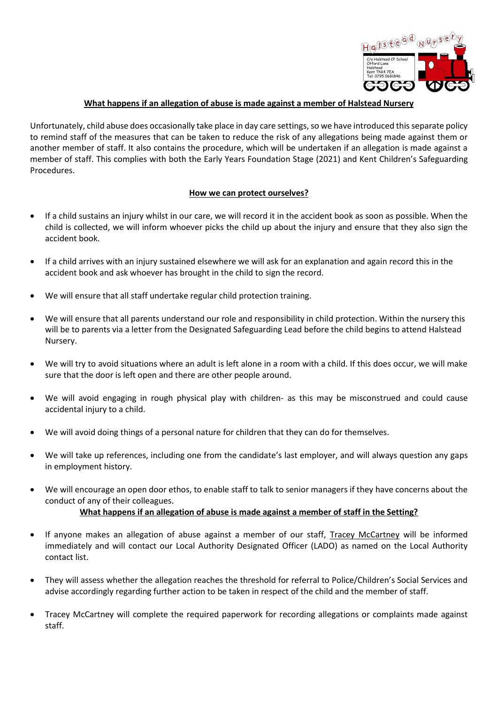

### **What happens if an allegation of abuse is made against a member of Halstead Nursery**

Unfortunately, child abuse does occasionally take place in day care settings, so we have introduced this separate policy to remind staff of the measures that can be taken to reduce the risk of any allegations being made against them or another member of staff. It also contains the procedure, which will be undertaken if an allegation is made against a member of staff. This complies with both the Early Years Foundation Stage (2021) and Kent Children's Safeguarding Procedures.

### **How we can protect ourselves?**

- If a child sustains an injury whilst in our care, we will record it in the accident book as soon as possible. When the child is collected, we will inform whoever picks the child up about the injury and ensure that they also sign the accident book.
- If a child arrives with an injury sustained elsewhere we will ask for an explanation and again record this in the accident book and ask whoever has brought in the child to sign the record.
- We will ensure that all staff undertake regular child protection training.
- We will ensure that all parents understand our role and responsibility in child protection. Within the nursery this will be to parents via a letter from the Designated Safeguarding Lead before the child begins to attend Halstead Nursery.
- We will try to avoid situations where an adult is left alone in a room with a child. If this does occur, we will make sure that the door is left open and there are other people around.
- We will avoid engaging in rough physical play with children- as this may be misconstrued and could cause accidental injury to a child.
- We will avoid doing things of a personal nature for children that they can do for themselves.
- We will take up references, including one from the candidate's last employer, and will always question any gaps in employment history.
- We will encourage an open door ethos, to enable staff to talk to senior managers if they have concerns about the conduct of any of their colleagues.

## **What happens if an allegation of abuse is made against a member of staff in the Setting?**

- If anyone makes an allegation of abuse against a member of our staff, Tracey McCartney will be informed immediately and will contact our Local Authority Designated Officer (LADO) as named on the Local Authority contact list.
- They will assess whether the allegation reaches the threshold for referral to Police/Children's Social Services and advise accordingly regarding further action to be taken in respect of the child and the member of staff.
- Tracey McCartney will complete the required paperwork for recording allegations or complaints made against staff.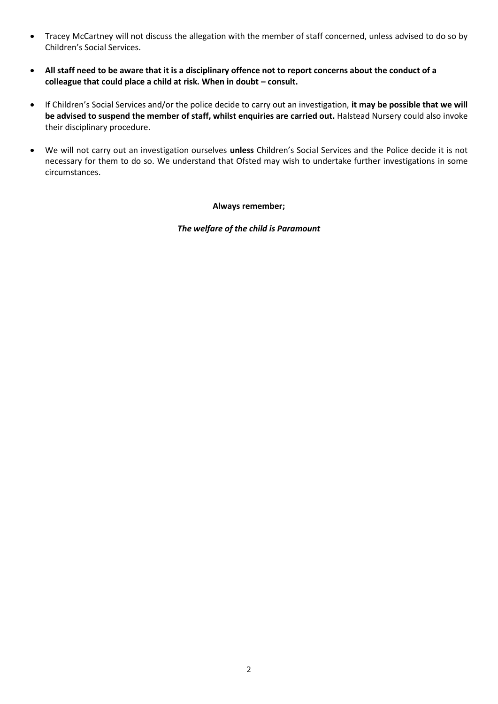- Tracey McCartney will not discuss the allegation with the member of staff concerned, unless advised to do so by Children's Social Services.
- **All staff need to be aware that it is a disciplinary offence not to report concerns about the conduct of a colleague that could place a child at risk. When in doubt – consult.**
- If Children's Social Services and/or the police decide to carry out an investigation, **it may be possible that we will be advised to suspend the member of staff, whilst enquiries are carried out.** Halstead Nursery could also invoke their disciplinary procedure.
- We will not carry out an investigation ourselves **unless** Children's Social Services and the Police decide it is not necessary for them to do so. We understand that Ofsted may wish to undertake further investigations in some circumstances.

**Always remember;**

*The welfare of the child is Paramount*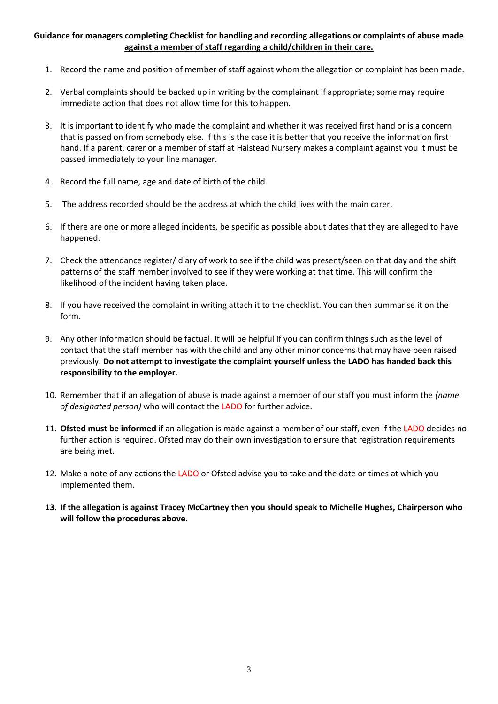### **Guidance for managers completing Checklist for handling and recording allegations or complaints of abuse made against a member of staff regarding a child/children in their care.**

- 1. Record the name and position of member of staff against whom the allegation or complaint has been made.
- 2. Verbal complaints should be backed up in writing by the complainant if appropriate; some may require immediate action that does not allow time for this to happen.
- 3. It is important to identify who made the complaint and whether it was received first hand or is a concern that is passed on from somebody else. If this is the case it is better that you receive the information first hand. If a parent, carer or a member of staff at Halstead Nursery makes a complaint against you it must be passed immediately to your line manager.
- 4. Record the full name, age and date of birth of the child.
- 5. The address recorded should be the address at which the child lives with the main carer.
- 6. If there are one or more alleged incidents, be specific as possible about dates that they are alleged to have happened.
- 7. Check the attendance register/ diary of work to see if the child was present/seen on that day and the shift patterns of the staff member involved to see if they were working at that time. This will confirm the likelihood of the incident having taken place.
- 8. If you have received the complaint in writing attach it to the checklist. You can then summarise it on the form.
- 9. Any other information should be factual. It will be helpful if you can confirm things such as the level of contact that the staff member has with the child and any other minor concerns that may have been raised previously. **Do not attempt to investigate the complaint yourself unless the LADO has handed back this responsibility to the employer.**
- 10. Remember that if an allegation of abuse is made against a member of our staff you must inform the *(name of designated person)* who will contact the LADO for further advice.
- 11. **Ofsted must be informed** if an allegation is made against a member of our staff, even if the LADO decides no further action is required. Ofsted may do their own investigation to ensure that registration requirements are being met.
- 12. Make a note of any actions the LADO or Ofsted advise you to take and the date or times at which you implemented them.
- **13. If the allegation is against Tracey McCartney then you should speak to Michelle Hughes, Chairperson who will follow the procedures above.**